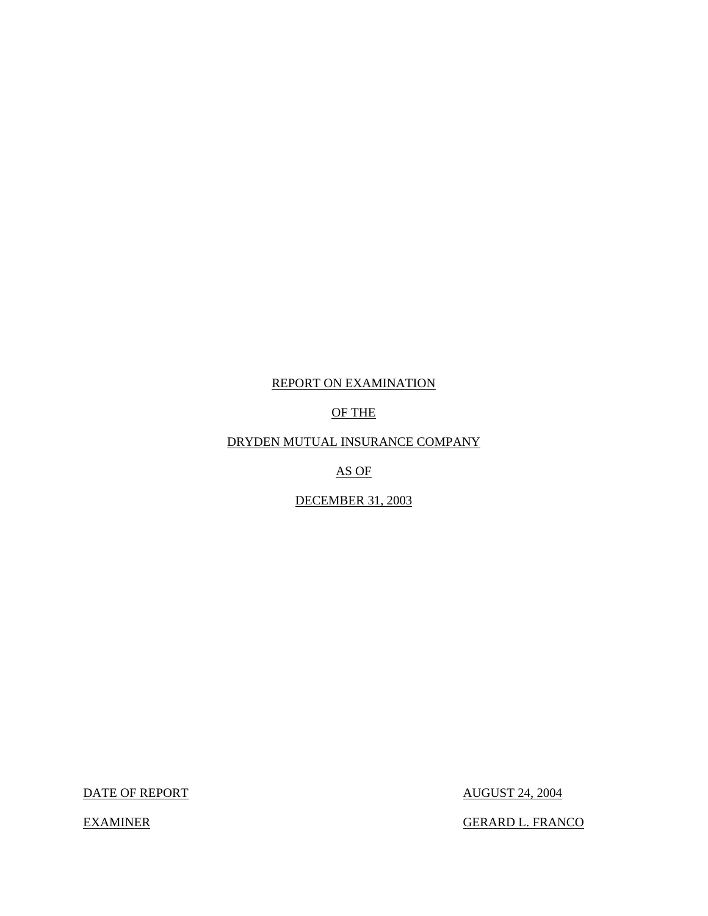## REPORT ON EXAMINATION

### OF THE

## DRYDEN MUTUAL INSURANCE COMPANY

### AS OF

## DECEMBER 31, 2003

DATE OF REPORT AUGUST 24, 2004

EXAMINER GERARD L. FRANCO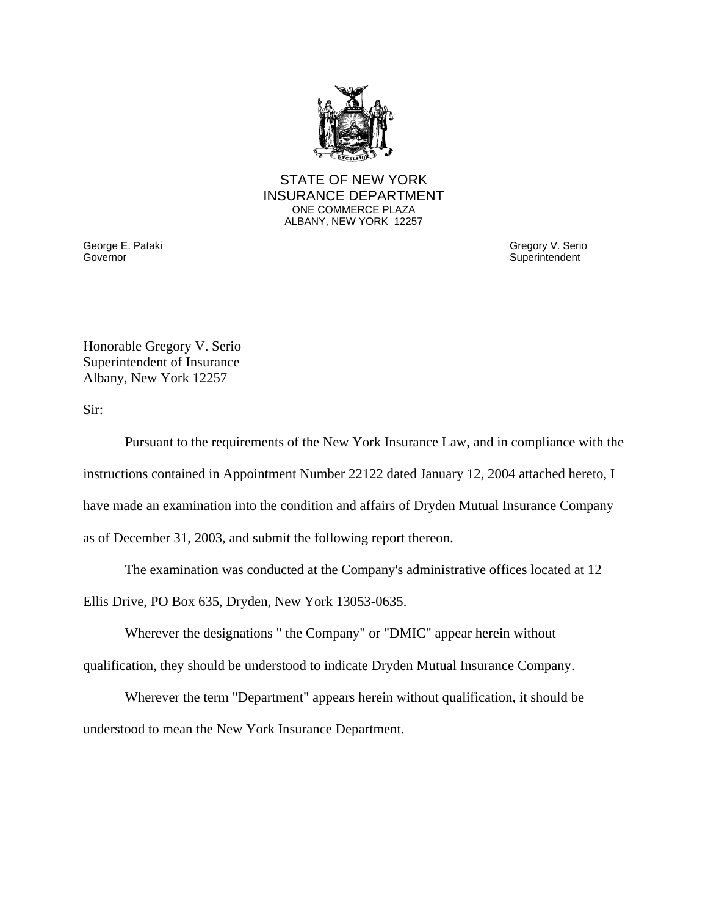![](_page_1_Picture_0.jpeg)

#### STATE OF NEW YORK INSURANCE DEPARTMENT ONE COMMERCE PLAZA ALBANY, NEW YORK 12257

George E. Pataki **Governor** 

Gregory V. Serio **Superintendent** 

Honorable Gregory V. Serio Superintendent of Insurance Albany, New York 12257

Sir:

Pursuant to the requirements of the New York Insurance Law, and in compliance with the instructions contained in Appointment Number 22122 dated January 12, 2004 attached hereto, I have made an examination into the condition and affairs of Dryden Mutual Insurance Company as of December 31, 2003, and submit the following report thereon.

The examination was conducted at the Company's administrative offices located at 12

Ellis Drive, PO Box 635, Dryden, New York 13053-0635.

Wherever the designations " the Company" or "DMIC" appear herein without

qualification, they should be understood to indicate Dryden Mutual Insurance Company.

Wherever the term "Department" appears herein without qualification, it should be understood to mean the New York Insurance Department.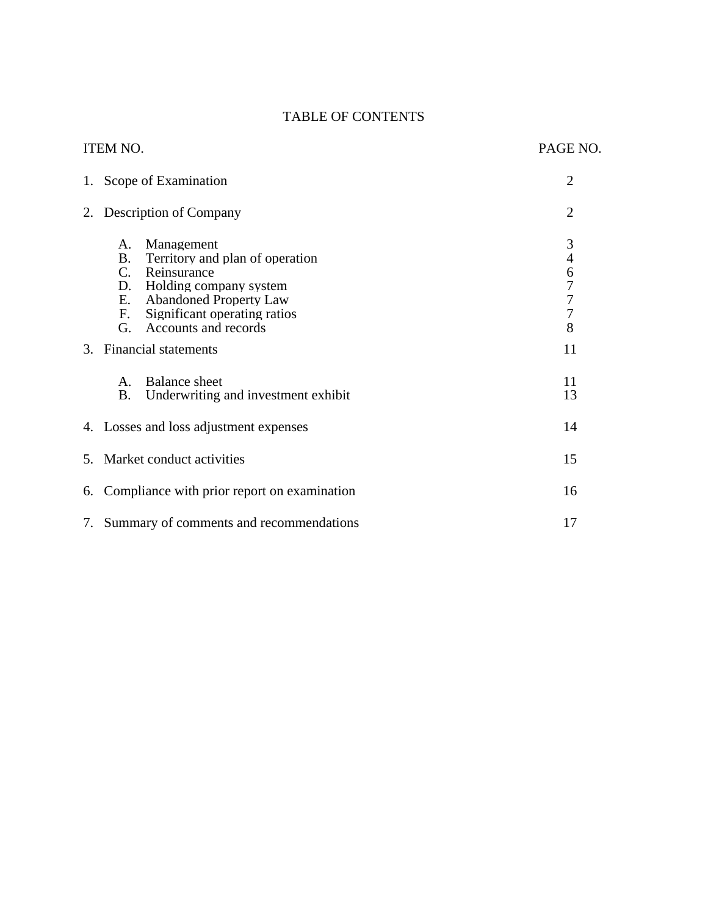# TABLE OF CONTENTS

|    | <b>ITEM NO.</b>                                                                                                                                                                                                              | PAGE NO.                     |
|----|------------------------------------------------------------------------------------------------------------------------------------------------------------------------------------------------------------------------------|------------------------------|
| 1. | Scope of Examination                                                                                                                                                                                                         | $\overline{2}$               |
| 2. | Description of Company                                                                                                                                                                                                       | $\overline{2}$               |
|    | Management<br>А.<br><b>B.</b><br>Territory and plan of operation<br>$C_{\cdot}$<br>Reinsurance<br>D. Holding company system<br>E. Abandoned Property Law<br>Significant operating ratios<br>F.<br>G.<br>Accounts and records | $\mathfrak{Z}$<br>46777<br>8 |
| 3. | <b>Financial statements</b>                                                                                                                                                                                                  | 11                           |
|    | <b>Balance</b> sheet<br>A.<br><b>B.</b><br>Underwriting and investment exhibit                                                                                                                                               | 11<br>13                     |
|    | 4. Losses and loss adjustment expenses                                                                                                                                                                                       | 14                           |
|    | 5. Market conduct activities                                                                                                                                                                                                 | 15                           |
| 6. | Compliance with prior report on examination                                                                                                                                                                                  | 16                           |
|    | 7. Summary of comments and recommendations                                                                                                                                                                                   | 17                           |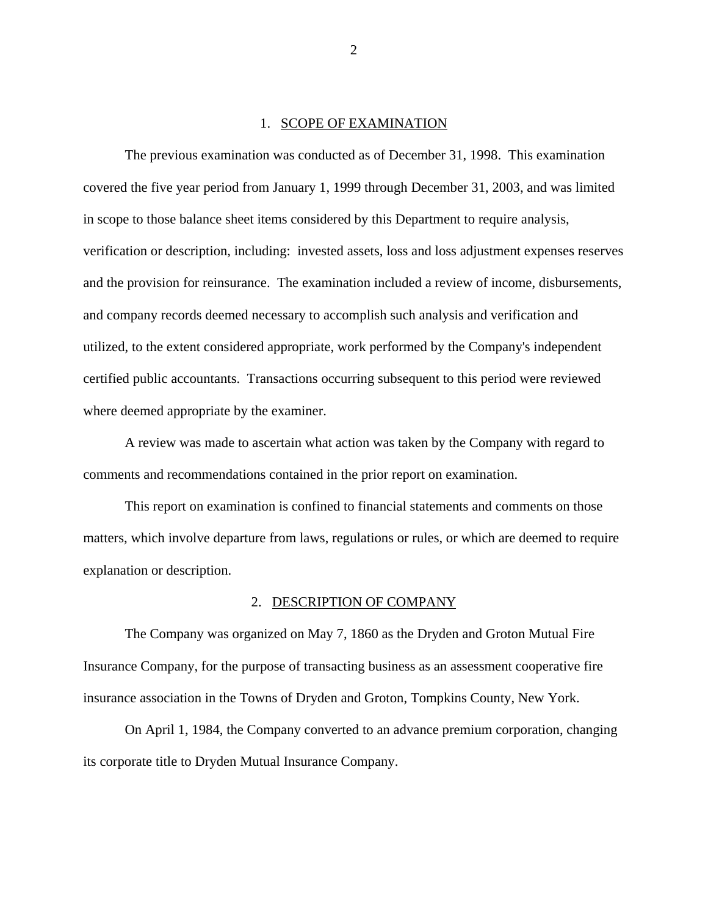#### 1. SCOPE OF EXAMINATION

The previous examination was conducted as of December 31, 1998. This examination covered the five year period from January 1, 1999 through December 31, 2003, and was limited in scope to those balance sheet items considered by this Department to require analysis, verification or description, including: invested assets, loss and loss adjustment expenses reserves and the provision for reinsurance. The examination included a review of income, disbursements, and company records deemed necessary to accomplish such analysis and verification and utilized, to the extent considered appropriate, work performed by the Company's independent certified public accountants. Transactions occurring subsequent to this period were reviewed where deemed appropriate by the examiner.

A review was made to ascertain what action was taken by the Company with regard to comments and recommendations contained in the prior report on examination.

This report on examination is confined to financial statements and comments on those matters, which involve departure from laws, regulations or rules, or which are deemed to require explanation or description.

#### 2. DESCRIPTION OF COMPANY

The Company was organized on May 7, 1860 as the Dryden and Groton Mutual Fire Insurance Company, for the purpose of transacting business as an assessment cooperative fire insurance association in the Towns of Dryden and Groton, Tompkins County, New York.

On April 1, 1984, the Company converted to an advance premium corporation, changing its corporate title to Dryden Mutual Insurance Company.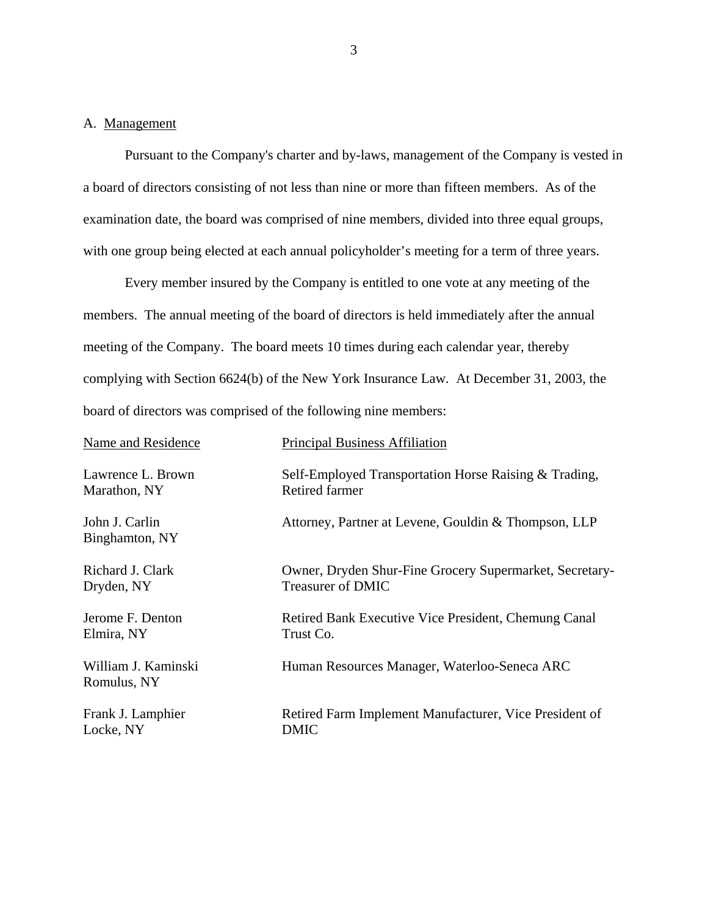#### <span id="page-4-0"></span>A. Management

Pursuant to the Company's charter and by-laws, management of the Company is vested in a board of directors consisting of not less than nine or more than fifteen members. As of the examination date, the board was comprised of nine members, divided into three equal groups, with one group being elected at each annual policyholder's meeting for a term of three years.

Every member insured by the Company is entitled to one vote at any meeting of the members. The annual meeting of the board of directors is held immediately after the annual meeting of the Company. The board meets 10 times during each calendar year, thereby complying with Section 6624(b) of the New York Insurance Law. At December 31, 2003, the board of directors was comprised of the following nine members:

| Name and Residence                 | <b>Principal Business Affiliation</b>                   |
|------------------------------------|---------------------------------------------------------|
| Lawrence L. Brown                  | Self-Employed Transportation Horse Raising & Trading,   |
| Marathon, NY                       | <b>Retired farmer</b>                                   |
| John J. Carlin<br>Binghamton, NY   | Attorney, Partner at Levene, Gouldin & Thompson, LLP    |
| Richard J. Clark                   | Owner, Dryden Shur-Fine Grocery Supermarket, Secretary- |
| Dryden, NY                         | <b>Treasurer of DMIC</b>                                |
| Jerome F. Denton                   | Retired Bank Executive Vice President, Chemung Canal    |
| Elmira, NY                         | Trust Co.                                               |
| William J. Kaminski<br>Romulus, NY | Human Resources Manager, Waterloo-Seneca ARC            |
| Frank J. Lamphier                  | Retired Farm Implement Manufacturer, Vice President of  |
| Locke, NY                          | DMIC                                                    |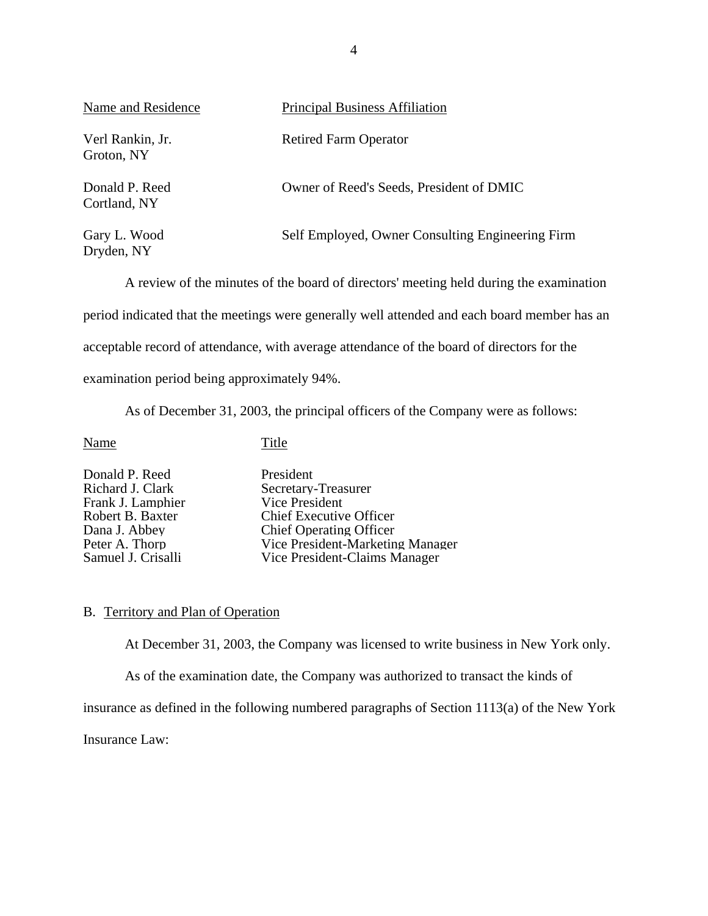<span id="page-5-0"></span>

| Name and Residence             | <b>Principal Business Affiliation</b>            |
|--------------------------------|--------------------------------------------------|
| Verl Rankin, Jr.<br>Groton, NY | <b>Retired Farm Operator</b>                     |
| Donald P. Reed<br>Cortland, NY | Owner of Reed's Seeds, President of DMIC         |
| Gary L. Wood<br>Dryden, NY     | Self Employed, Owner Consulting Engineering Firm |

A review of the minutes of the board of directors' meeting held during the examination period indicated that the meetings were generally well attended and each board member has an acceptable record of attendance, with average attendance of the board of directors for the examination period being approximately 94%.

As of December 31, 2003, the principal officers of the Company were as follows:

Name Title

Donald P. Reed President<br>Richard J. Clark Secretary-Frank J. Lamphier<br>Robert B. Baxter

Secretary-Treasurer<br>Vice President Robert B. Baxter Chief Executive Officer<br>
Dana J. Abbev Chief Operating Officer Dana J. Abbey<br>
Peter A. Thorp<br>
Peter A. Thorp<br>
Chief Operating Officer<br>
Vice President-Marketin Peter A. Thorp Vice President-Marketing Manager<br>
Samuel J. Crisalli Vice President-Claims Manager Vice President-Claims Manager

#### B. Territory and Plan of Operation

At December 31, 2003, the Company was licensed to write business in New York only.

As of the examination date, the Company was authorized to transact the kinds of

insurance as defined in the following numbered paragraphs of Section 1113(a) of the New York

Insurance Law: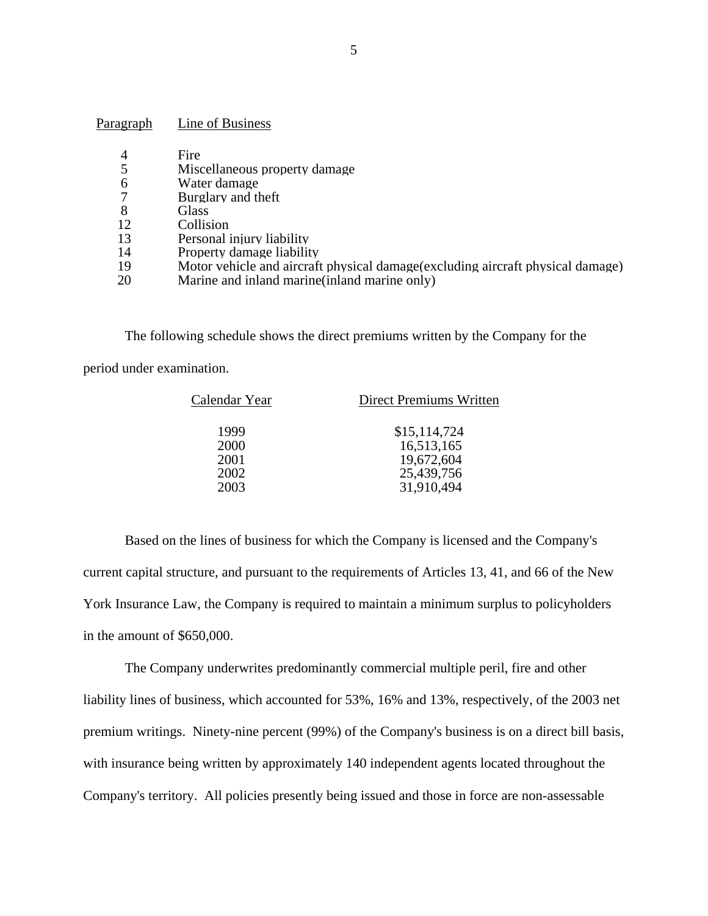| Paragraph | Line of Business                                                                |
|-----------|---------------------------------------------------------------------------------|
| 4         | Fire                                                                            |
|           | Miscellaneous property damage                                                   |
| 6         | Water damage                                                                    |
|           | Burglary and theft                                                              |
| 8         | <b>Glass</b>                                                                    |
| 12        | Collision                                                                       |
| 13        | Personal injury liability                                                       |
| 14        | Property damage liability                                                       |
| 19        | Motor vehicle and aircraft physical damage (excluding aircraft physical damage) |
| 20        | Marine and inland marine (inland marine only)                                   |

The following schedule shows the direct premiums written by the Company for the

period under examination.

| Calendar Year | <b>Direct Premiums Written</b> |
|---------------|--------------------------------|
| 1999          | \$15,114,724                   |
| 2000          | 16,513,165                     |
| 2001          | 19,672,604                     |
| 2002          | 25,439,756                     |
| 2003          | 31,910,494                     |

Based on the lines of business for which the Company is licensed and the Company's current capital structure, and pursuant to the requirements of Articles 13, 41, and 66 of the New York Insurance Law, the Company is required to maintain a minimum surplus to policyholders in the amount of \$650,000.

The Company underwrites predominantly commercial multiple peril, fire and other liability lines of business, which accounted for 53%, 16% and 13%, respectively, of the 2003 net premium writings. Ninety-nine percent (99%) of the Company's business is on a direct bill basis, with insurance being written by approximately 140 independent agents located throughout the Company's territory. All policies presently being issued and those in force are non-assessable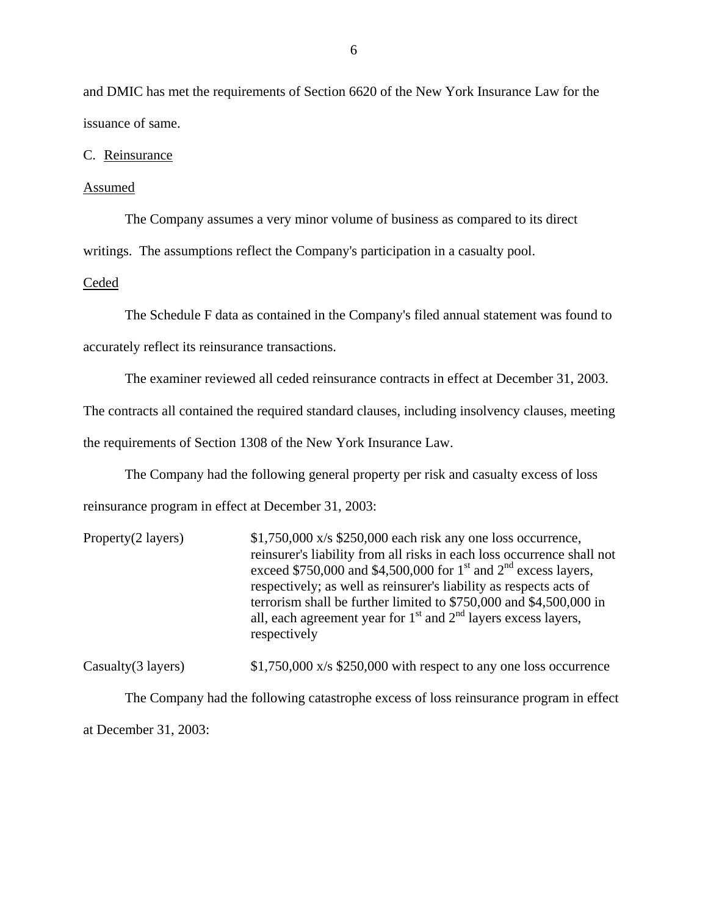<span id="page-7-0"></span>and DMIC has met the requirements of Section 6620 of the New York Insurance Law for the issuance of same.

C. Reinsurance

#### Assumed

The Company assumes a very minor volume of business as compared to its direct

writings. The assumptions reflect the Company's participation in a casualty pool.

#### Ceded

The Schedule F data as contained in the Company's filed annual statement was found to

accurately reflect its reinsurance transactions.

The examiner reviewed all ceded reinsurance contracts in effect at December 31, 2003.

The contracts all contained the required standard clauses, including insolvency clauses, meeting

the requirements of Section 1308 of the New York Insurance Law.

The Company had the following general property per risk and casualty excess of loss

reinsurance program in effect at December 31, 2003:

| Property(2 layers) | $$1,750,000 \times $250,000$ each risk any one loss occurrence,<br>reinsurer's liability from all risks in each loss occurrence shall not<br>exceed \$750,000 and \$4,500,000 for $1st$ and $2nd$ excess layers,<br>respectively; as well as reinsurer's liability as respects acts of<br>terrorism shall be further limited to \$750,000 and \$4,500,000 in<br>all, each agreement year for $1st$ and $2nd$ layers excess layers,<br>respectively |
|--------------------|----------------------------------------------------------------------------------------------------------------------------------------------------------------------------------------------------------------------------------------------------------------------------------------------------------------------------------------------------------------------------------------------------------------------------------------------------|
|--------------------|----------------------------------------------------------------------------------------------------------------------------------------------------------------------------------------------------------------------------------------------------------------------------------------------------------------------------------------------------------------------------------------------------------------------------------------------------|

Casualty(3 layers)  $$1,750,000 \text{ x/s } $250,000 \text{ with respect to any one loss occurrence}$ 

The Company had the following catastrophe excess of loss reinsurance program in effect at December 31, 2003: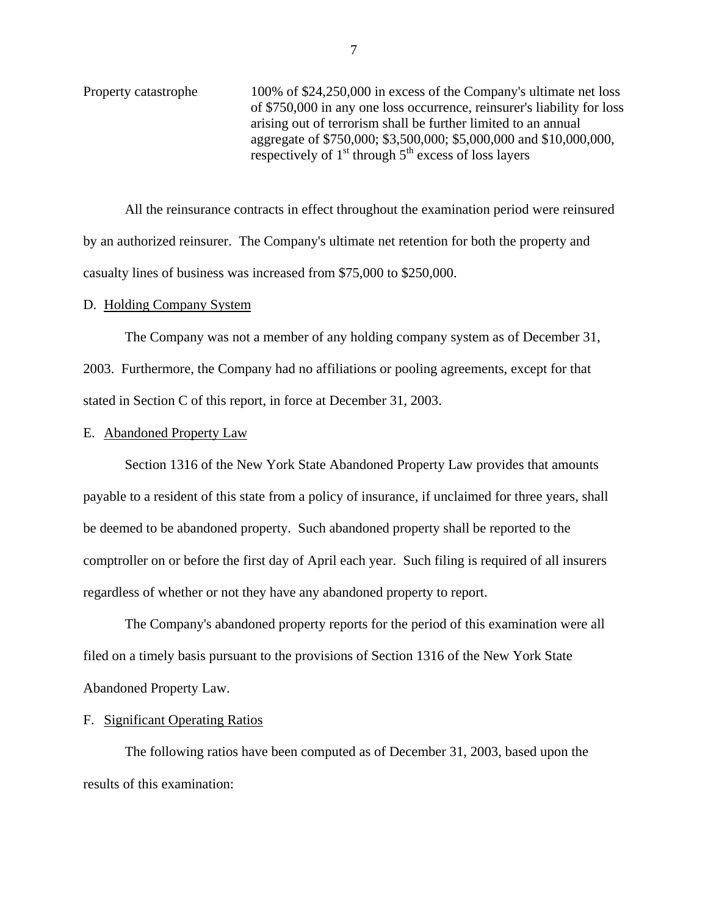<span id="page-8-0"></span>Property catastrophe 100% of \$24,250,000 in excess of the Company's ultimate net loss of \$750,000 in any one loss occurrence, reinsurer's liability for loss arising out of terrorism shall be further limited to an annual aggregate of \$750,000; \$3,500,000; \$5,000,000 and \$10,000,000, respectively of  $1<sup>st</sup>$  through  $5<sup>th</sup>$  excess of loss layers

All the reinsurance contracts in effect throughout the examination period were reinsured by an authorized reinsurer. The Company's ultimate net retention for both the property and casualty lines of business was increased from \$75,000 to \$250,000.

#### D. Holding Company System

The Company was not a member of any holding company system as of December 31, 2003. Furthermore, the Company had no affiliations or pooling agreements, except for that stated in Section C of this report, in force at December 31, 2003.

#### E. Abandoned Property Law

Section 1316 of the New York State Abandoned Property Law provides that amounts payable to a resident of this state from a policy of insurance, if unclaimed for three years, shall be deemed to be abandoned property. Such abandoned property shall be reported to the comptroller on or before the first day of April each year. Such filing is required of all insurers regardless of whether or not they have any abandoned property to report.

The Company's abandoned property reports for the period of this examination were all filed on a timely basis pursuant to the provisions of Section 1316 of the New York State Abandoned Property Law.

### F. Significant Operating Ratios

The following ratios have been computed as of December 31, 2003, based upon the results of this examination: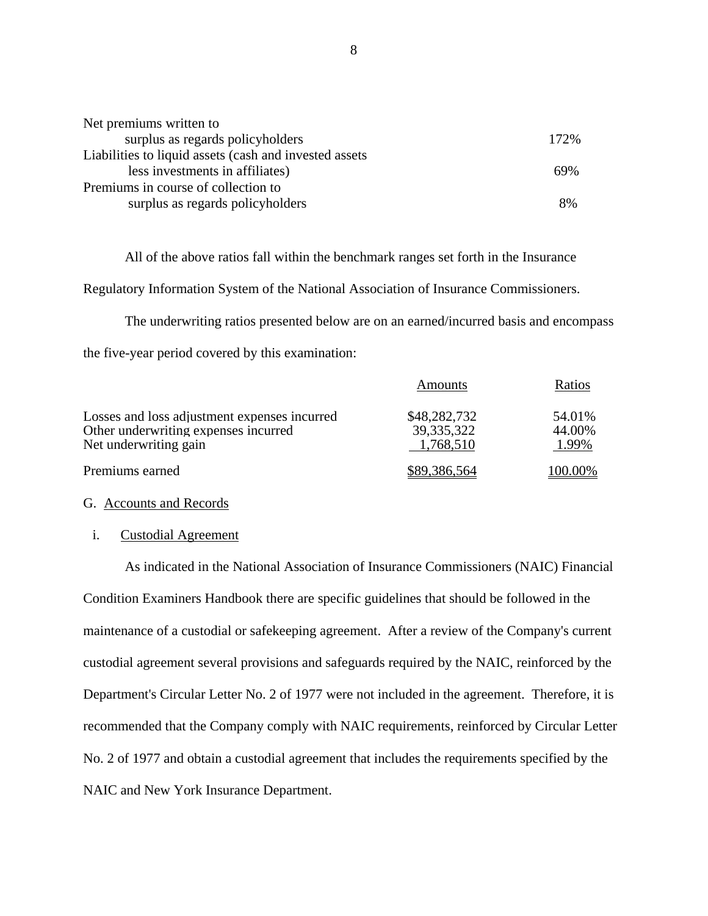| Net premiums written to                                 |      |
|---------------------------------------------------------|------|
| surplus as regards policyholders                        | 172% |
| Liabilities to liquid assets (cash and invested assets) |      |
| less investments in affiliates)                         | 69%  |
| Premiums in course of collection to                     |      |
| surplus as regards policyholders                        | 8%   |

All of the above ratios fall within the benchmark ranges set forth in the Insurance

Regulatory Information System of the National Association of Insurance Commissioners.

The underwriting ratios presented below are on an earned/incurred basis and encompass the five-year period covered by this examination:

|                                              | Amounts      | Ratios |
|----------------------------------------------|--------------|--------|
| Losses and loss adjustment expenses incurred | \$48,282,732 | 54.01% |
| Other underwriting expenses incurred         | 39, 335, 322 | 44.00% |
| Net underwriting gain                        | 1,768,510    | 1.99%  |
| Premiums earned                              | 89,386,564   | 00.00% |

#### G. Accounts and Records

#### i. Custodial Agreement

As indicated in the National Association of Insurance Commissioners (NAIC) Financial Condition Examiners Handbook there are specific guidelines that should be followed in the maintenance of a custodial or safekeeping agreement. After a review of the Company's current custodial agreement several provisions and safeguards required by the NAIC, reinforced by the Department's Circular Letter No. 2 of 1977 were not included in the agreement. Therefore, it is recommended that the Company comply with NAIC requirements, reinforced by Circular Letter No. 2 of 1977 and obtain a custodial agreement that includes the requirements specified by the NAIC and New York Insurance Department.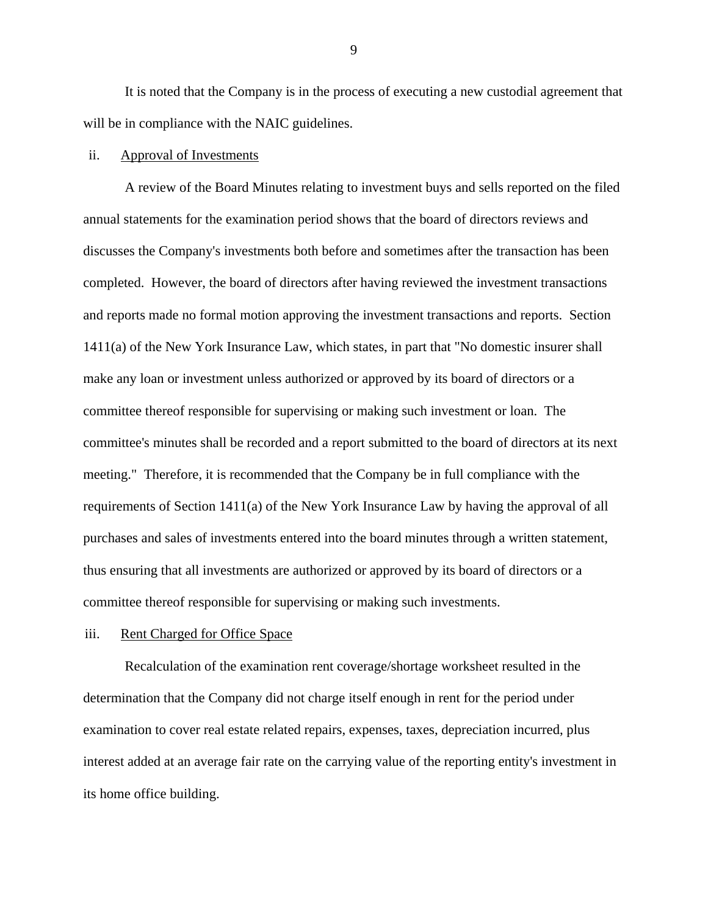It is noted that the Company is in the process of executing a new custodial agreement that will be in compliance with the NAIC guidelines.

#### ii. Approval of Investments

A review of the Board Minutes relating to investment buys and sells reported on the filed annual statements for the examination period shows that the board of directors reviews and discusses the Company's investments both before and sometimes after the transaction has been completed. However, the board of directors after having reviewed the investment transactions and reports made no formal motion approving the investment transactions and reports. Section 1411(a) of the New York Insurance Law, which states, in part that "No domestic insurer shall make any loan or investment unless authorized or approved by its board of directors or a committee thereof responsible for supervising or making such investment or loan. The committee's minutes shall be recorded and a report submitted to the board of directors at its next meeting." Therefore, it is recommended that the Company be in full compliance with the requirements of Section 1411(a) of the New York Insurance Law by having the approval of all purchases and sales of investments entered into the board minutes through a written statement, thus ensuring that all investments are authorized or approved by its board of directors or a committee thereof responsible for supervising or making such investments.

#### iii. Rent Charged for Office Space

Recalculation of the examination rent coverage/shortage worksheet resulted in the determination that the Company did not charge itself enough in rent for the period under examination to cover real estate related repairs, expenses, taxes, depreciation incurred, plus interest added at an average fair rate on the carrying value of the reporting entity's investment in its home office building.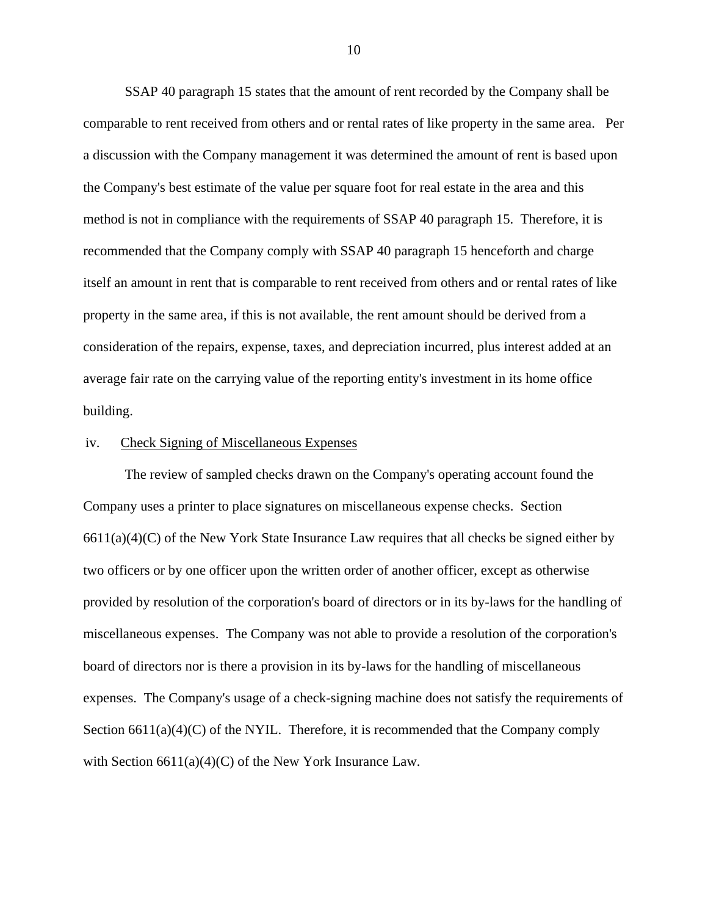SSAP 40 paragraph 15 states that the amount of rent recorded by the Company shall be comparable to rent received from others and or rental rates of like property in the same area. Per a discussion with the Company management it was determined the amount of rent is based upon the Company's best estimate of the value per square foot for real estate in the area and this method is not in compliance with the requirements of SSAP 40 paragraph 15. Therefore, it is recommended that the Company comply with SSAP 40 paragraph 15 henceforth and charge itself an amount in rent that is comparable to rent received from others and or rental rates of like property in the same area, if this is not available, the rent amount should be derived from a consideration of the repairs, expense, taxes, and depreciation incurred, plus interest added at an average fair rate on the carrying value of the reporting entity's investment in its home office building.

#### iv. Check Signing of Miscellaneous Expenses

The review of sampled checks drawn on the Company's operating account found the Company uses a printer to place signatures on miscellaneous expense checks. Section  $6611(a)(4)(C)$  of the New York State Insurance Law requires that all checks be signed either by two officers or by one officer upon the written order of another officer, except as otherwise provided by resolution of the corporation's board of directors or in its by-laws for the handling of miscellaneous expenses. The Company was not able to provide a resolution of the corporation's board of directors nor is there a provision in its by-laws for the handling of miscellaneous expenses. The Company's usage of a check-signing machine does not satisfy the requirements of Section  $6611(a)(4)(C)$  of the NYIL. Therefore, it is recommended that the Company comply with Section  $6611(a)(4)(C)$  of the New York Insurance Law.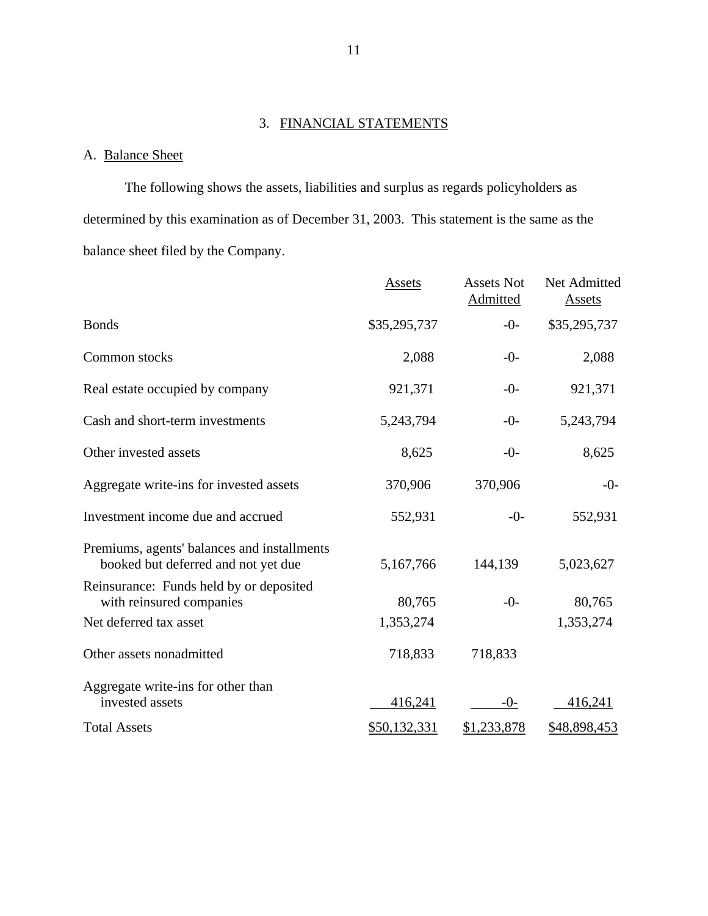# 3. FINANCIAL STATEMENTS

# A. Balance Sheet

The following shows the assets, liabilities and surplus as regards policyholders as determined by this examination as of December 31, 2003. This statement is the same as the balance sheet filed by the Company.

|                                                                                    | Assets       | <b>Assets Not</b><br>Admitted | Net Admitted<br><b>Assets</b> |
|------------------------------------------------------------------------------------|--------------|-------------------------------|-------------------------------|
| <b>Bonds</b>                                                                       | \$35,295,737 | $-0-$                         | \$35,295,737                  |
| Common stocks                                                                      | 2,088        | $-0-$                         | 2,088                         |
| Real estate occupied by company                                                    | 921,371      | $-0-$                         | 921,371                       |
| Cash and short-term investments                                                    | 5,243,794    | $-0-$                         | 5,243,794                     |
| Other invested assets                                                              | 8,625        | $-0-$                         | 8,625                         |
| Aggregate write-ins for invested assets                                            | 370,906      | 370,906                       | $-0-$                         |
| Investment income due and accrued                                                  | 552,931      | $-0-$                         | 552,931                       |
| Premiums, agents' balances and installments<br>booked but deferred and not yet due | 5,167,766    | 144,139                       | 5,023,627                     |
| Reinsurance: Funds held by or deposited<br>with reinsured companies                | 80,765       | $-0-$                         | 80,765                        |
| Net deferred tax asset                                                             | 1,353,274    |                               | 1,353,274                     |
| Other assets nonadmitted                                                           | 718,833      | 718,833                       |                               |
| Aggregate write-ins for other than<br>invested assets                              | 416,241      | $-0-$                         | 416,241                       |
| <b>Total Assets</b>                                                                | \$50,132,331 | \$1,233,878                   | \$48,898,453                  |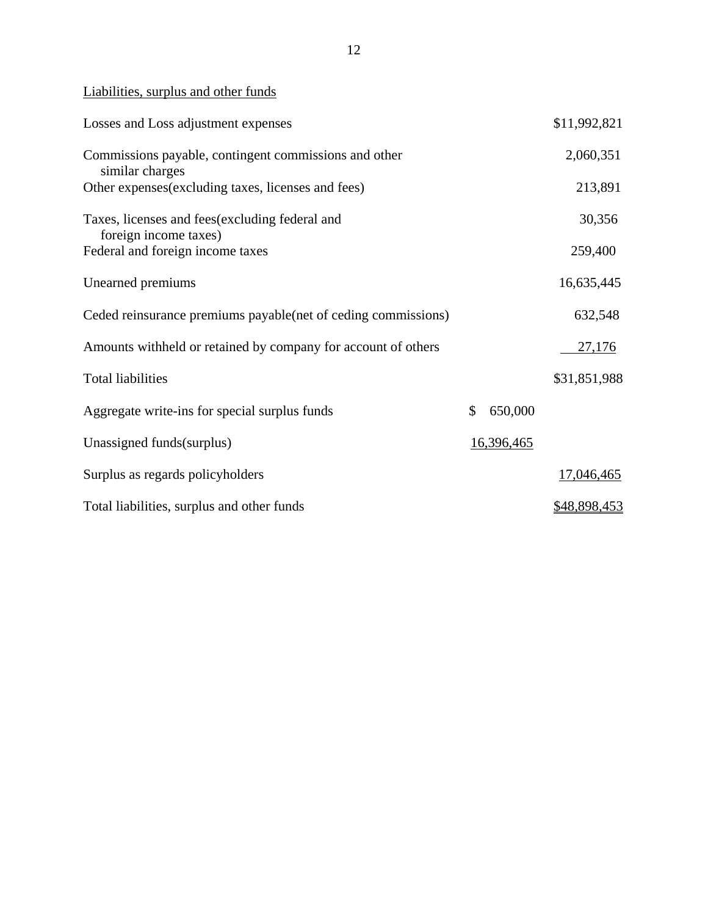Liabilities, surplus and other funds

| Losses and Loss adjustment expenses                                      |               | \$11,992,821        |
|--------------------------------------------------------------------------|---------------|---------------------|
| Commissions payable, contingent commissions and other<br>similar charges |               | 2,060,351           |
| Other expenses (excluding taxes, licenses and fees)                      |               | 213,891             |
| Taxes, licenses and fees (excluding federal and<br>foreign income taxes) |               | 30,356              |
| Federal and foreign income taxes                                         |               | 259,400             |
| Unearned premiums                                                        |               | 16,635,445          |
| Ceded reinsurance premiums payable (net of ceding commissions)           |               | 632,548             |
| Amounts withheld or retained by company for account of others            |               | 27,176              |
| <b>Total liabilities</b>                                                 |               | \$31,851,988        |
| Aggregate write-ins for special surplus funds                            | \$<br>650,000 |                     |
| Unassigned funds (surplus)                                               | 16,396,465    |                     |
| Surplus as regards policyholders                                         |               | 17,046,465          |
| Total liabilities, surplus and other funds                               |               | <u>\$48,898,453</u> |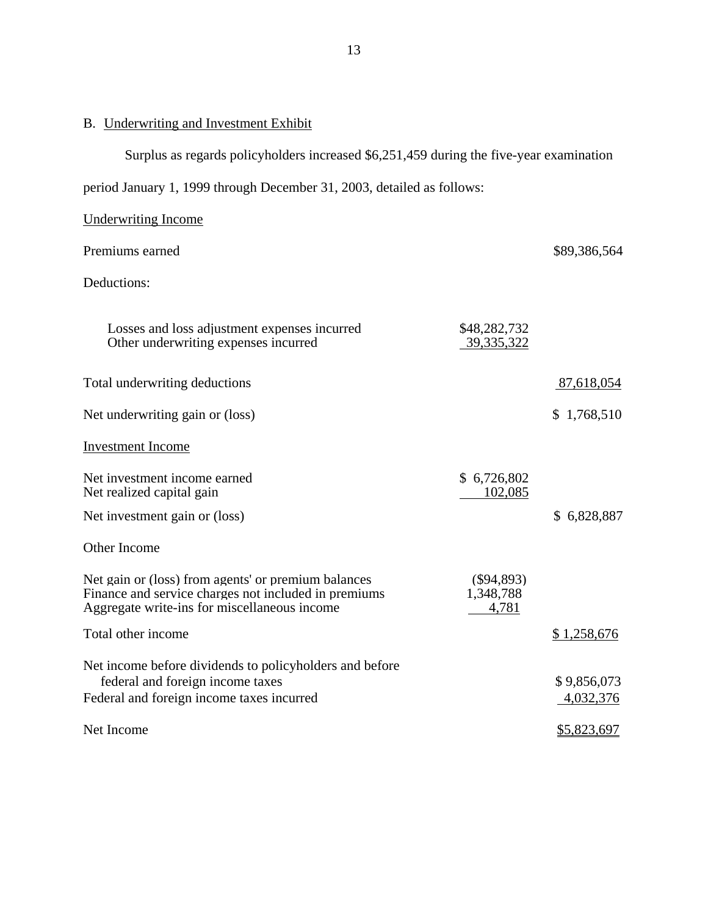# <span id="page-14-0"></span>B. Underwriting and Investment Exhibit

Surplus as regards policyholders increased \$6,251,459 during the five-year examination

period January 1, 1999 through December 31, 2003, detailed as follows:

| <b>Underwriting Income</b>                                                                                                                                  |                                    |                          |
|-------------------------------------------------------------------------------------------------------------------------------------------------------------|------------------------------------|--------------------------|
| Premiums earned                                                                                                                                             |                                    | \$89,386,564             |
| Deductions:                                                                                                                                                 |                                    |                          |
| Losses and loss adjustment expenses incurred<br>Other underwriting expenses incurred                                                                        | \$48,282,732<br>39, 335, 322       |                          |
| Total underwriting deductions                                                                                                                               |                                    | 87,618,054               |
| Net underwriting gain or (loss)                                                                                                                             |                                    | \$1,768,510              |
| <b>Investment Income</b>                                                                                                                                    |                                    |                          |
| Net investment income earned<br>Net realized capital gain                                                                                                   | \$6,726,802<br>102,085             |                          |
| Net investment gain or (loss)                                                                                                                               |                                    | \$6,828,887              |
| Other Income                                                                                                                                                |                                    |                          |
| Net gain or (loss) from agents' or premium balances<br>Finance and service charges not included in premiums<br>Aggregate write-ins for miscellaneous income | $(\$94,893)$<br>1,348,788<br>4,781 |                          |
| Total other income                                                                                                                                          |                                    | \$1,258,676              |
| Net income before dividends to policyholders and before<br>federal and foreign income taxes<br>Federal and foreign income taxes incurred                    |                                    | \$9,856,073<br>4,032,376 |
| Net Income                                                                                                                                                  |                                    | \$5,823,697              |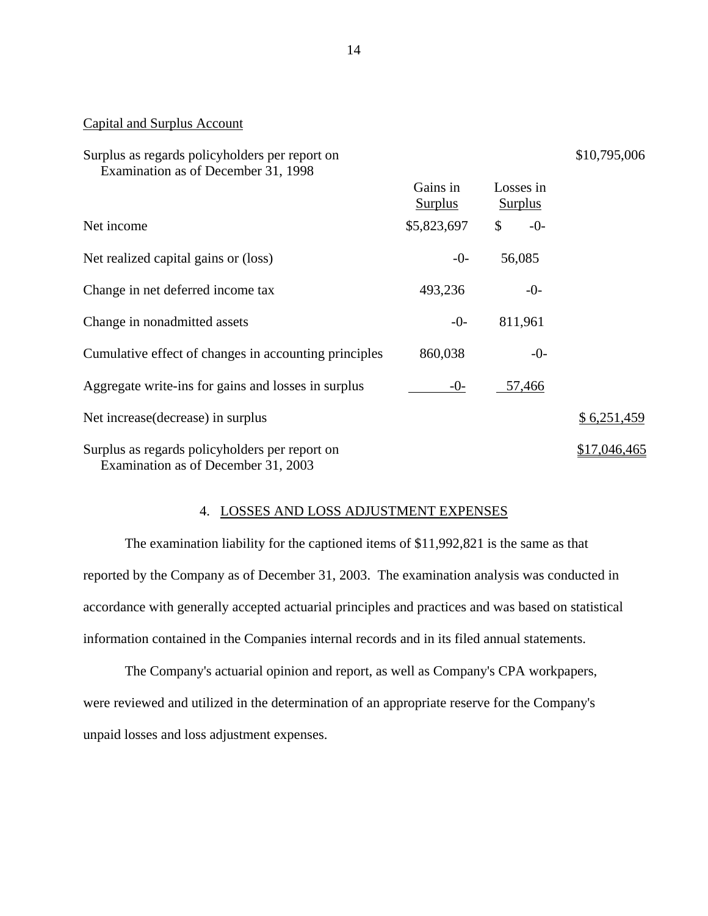| Surplus as regards policyholders per report on<br>Examination as of December 31, 1998 |                            |                             | \$10,795,006 |
|---------------------------------------------------------------------------------------|----------------------------|-----------------------------|--------------|
|                                                                                       | Gains in<br><b>Surplus</b> | Losses in<br><b>Surplus</b> |              |
| Net income                                                                            | \$5,823,697                | \$<br>$-0-$                 |              |
| Net realized capital gains or (loss)                                                  | $-0-$                      | 56,085                      |              |
| Change in net deferred income tax                                                     | 493,236                    | $-0-$                       |              |
| Change in nonadmitted assets                                                          | $-0-$                      | 811,961                     |              |
| Cumulative effect of changes in accounting principles                                 | 860,038                    | $-0-$                       |              |
| Aggregate write-ins for gains and losses in surplus                                   | $-0-$                      | 57,466                      |              |
| Net increase (decrease) in surplus                                                    |                            |                             | \$6,251,459  |
| Surplus as regards policyholders per report on<br>Examination as of December 31, 2003 |                            |                             | \$17,046,465 |

#### 4. LOSSES AND LOSS ADJUSTMENT EXPENSES

The examination liability for the captioned items of \$11,992,821 is the same as that reported by the Company as of December 31, 2003. The examination analysis was conducted in accordance with generally accepted actuarial principles and practices and was based on statistical information contained in the Companies internal records and in its filed annual statements.

The Company's actuarial opinion and report, as well as Company's CPA workpapers, were reviewed and utilized in the determination of an appropriate reserve for the Company's unpaid losses and loss adjustment expenses.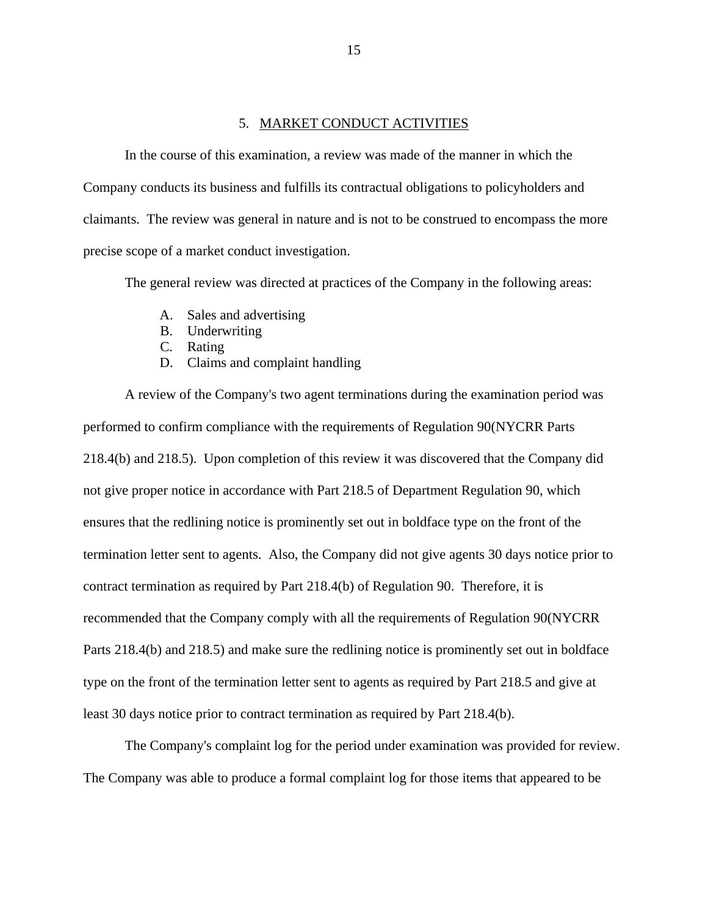#### 5. MARKET CONDUCT ACTIVITIES

<span id="page-16-0"></span>In the course of this examination, a review was made of the manner in which the Company conducts its business and fulfills its contractual obligations to policyholders and claimants. The review was general in nature and is not to be construed to encompass the more precise scope of a market conduct investigation.

The general review was directed at practices of the Company in the following areas:

- A. Sales and advertising
- B. Underwriting
- C. Rating
- D. Claims and complaint handling

A review of the Company's two agent terminations during the examination period was performed to confirm compliance with the requirements of Regulation 90(NYCRR Parts 218.4(b) and 218.5). Upon completion of this review it was discovered that the Company did not give proper notice in accordance with Part 218.5 of Department Regulation 90, which ensures that the redlining notice is prominently set out in boldface type on the front of the termination letter sent to agents. Also, the Company did not give agents 30 days notice prior to contract termination as required by Part 218.4(b) of Regulation 90. Therefore, it is recommended that the Company comply with all the requirements of Regulation 90(NYCRR Parts 218.4(b) and 218.5) and make sure the redlining notice is prominently set out in boldface type on the front of the termination letter sent to agents as required by Part 218.5 and give at least 30 days notice prior to contract termination as required by Part 218.4(b).

The Company's complaint log for the period under examination was provided for review. The Company was able to produce a formal complaint log for those items that appeared to be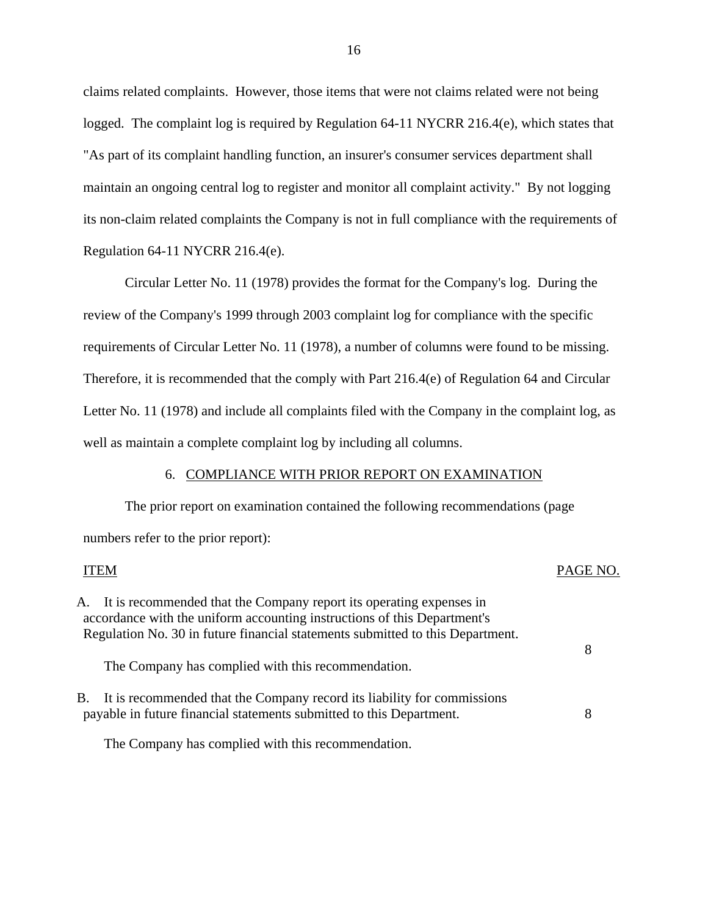claims related complaints. However, those items that were not claims related were not being logged. The complaint log is required by Regulation 64-11 NYCRR 216.4(e), which states that "As part of its complaint handling function, an insurer's consumer services department shall maintain an ongoing central log to register and monitor all complaint activity." By not logging its non-claim related complaints the Company is not in full compliance with the requirements of Regulation 64-11 NYCRR 216.4(e).

Circular Letter No. 11 (1978) provides the format for the Company's log. During the review of the Company's 1999 through 2003 complaint log for compliance with the specific requirements of Circular Letter No. 11 (1978), a number of columns were found to be missing. Therefore, it is recommended that the comply with Part 216.4(e) of Regulation 64 and Circular Letter No. 11 (1978) and include all complaints filed with the Company in the complaint log, as well as maintain a complete complaint log by including all columns.

#### 6. COMPLIANCE WITH PRIOR REPORT ON EXAMINATION

The prior report on examination contained the following recommendations (page numbers refer to the prior report):

# ITEM PAGE NO. A. It is recommended that the Company report its operating expenses in accordance with the uniform accounting instructions of this Department's Regulation No. 30 in future financial statements submitted to this Department. The Company has complied with this recommendation. 8 B. It is recommended that the Company record its liability for commissions payable in future financial statements submitted to this Department. 8

The Company has complied with this recommendation.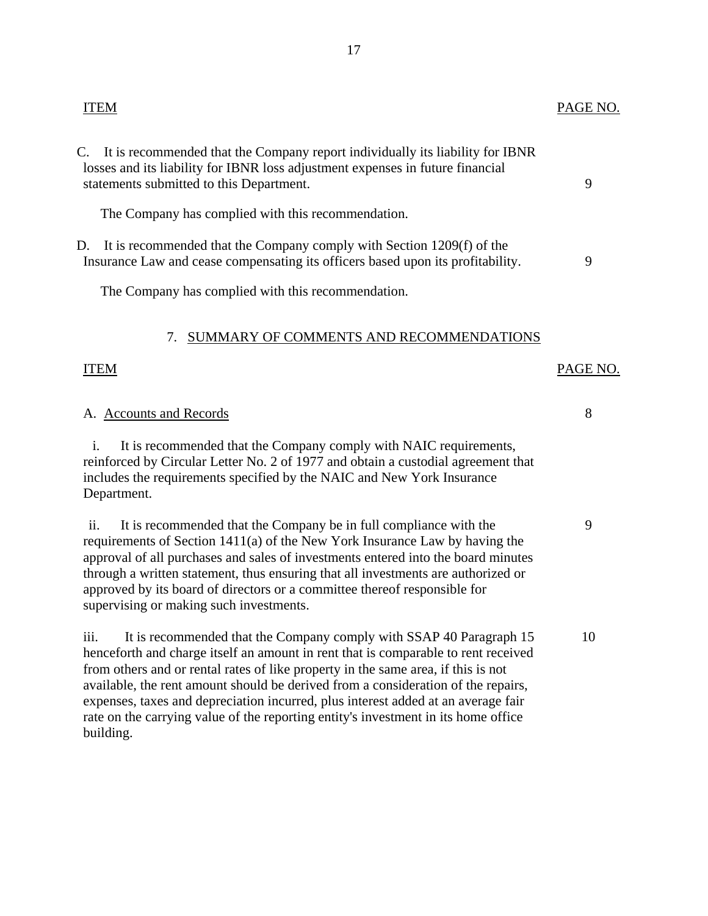<span id="page-18-0"></span>

| <b>ITEM</b>                                                                                                                                                                                                                                                                                                                                                                                                                                                                                                            | PAGE NO. |
|------------------------------------------------------------------------------------------------------------------------------------------------------------------------------------------------------------------------------------------------------------------------------------------------------------------------------------------------------------------------------------------------------------------------------------------------------------------------------------------------------------------------|----------|
| C.<br>It is recommended that the Company report individually its liability for IBNR<br>losses and its liability for IBNR loss adjustment expenses in future financial<br>statements submitted to this Department.                                                                                                                                                                                                                                                                                                      | 9        |
| The Company has complied with this recommendation.                                                                                                                                                                                                                                                                                                                                                                                                                                                                     |          |
| It is recommended that the Company comply with Section 1209(f) of the<br>D.<br>Insurance Law and cease compensating its officers based upon its profitability.                                                                                                                                                                                                                                                                                                                                                         | 9        |
| The Company has complied with this recommendation.                                                                                                                                                                                                                                                                                                                                                                                                                                                                     |          |
| SUMMARY OF COMMENTS AND RECOMMENDATIONS<br>7.                                                                                                                                                                                                                                                                                                                                                                                                                                                                          |          |
| <b>ITEM</b>                                                                                                                                                                                                                                                                                                                                                                                                                                                                                                            | PAGE NO. |
| A. Accounts and Records                                                                                                                                                                                                                                                                                                                                                                                                                                                                                                | 8        |
| It is recommended that the Company comply with NAIC requirements,<br>$\mathbf{i}$ .<br>reinforced by Circular Letter No. 2 of 1977 and obtain a custodial agreement that<br>includes the requirements specified by the NAIC and New York Insurance<br>Department.                                                                                                                                                                                                                                                      |          |
| It is recommended that the Company be in full compliance with the<br>ii.<br>requirements of Section 1411(a) of the New York Insurance Law by having the<br>approval of all purchases and sales of investments entered into the board minutes<br>through a written statement, thus ensuring that all investments are authorized or<br>approved by its board of directors or a committee thereof responsible for<br>supervising or making such investments.                                                              | 9        |
| iii.<br>It is recommended that the Company comply with SSAP 40 Paragraph 15<br>henceforth and charge itself an amount in rent that is comparable to rent received<br>from others and or rental rates of like property in the same area, if this is not<br>available, the rent amount should be derived from a consideration of the repairs,<br>expenses, taxes and depreciation incurred, plus interest added at an average fair<br>rate on the carrying value of the reporting entity's investment in its home office | 10       |

building.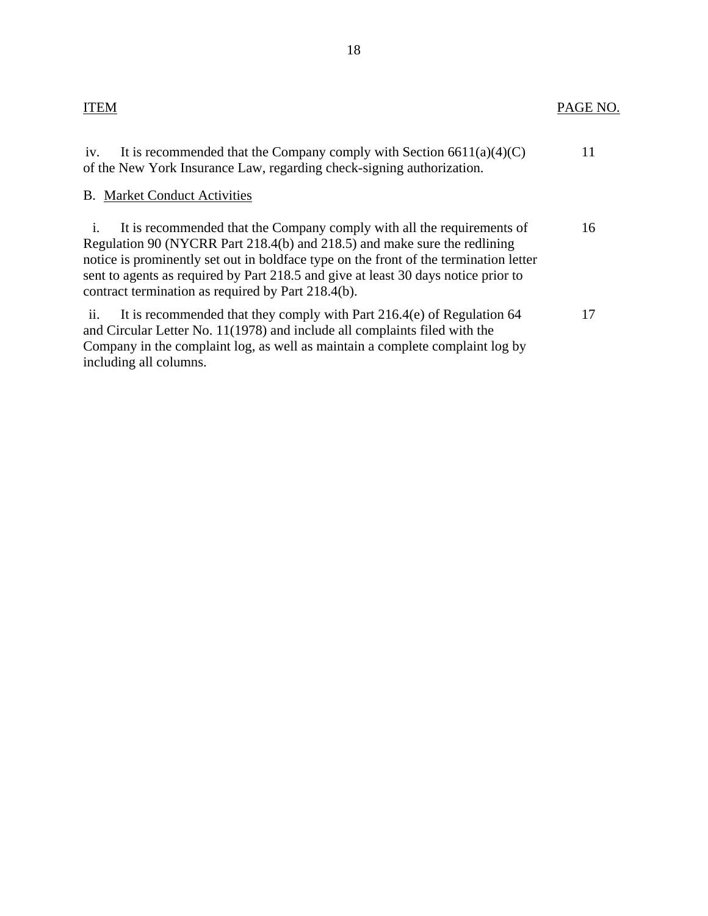| It is recommended that the Company comply with Section $6611(a)(4)(C)$<br>iv.<br>of the New York Insurance Law, regarding check-signing authorization.                                                                                                                                                                                                                                                     |    |
|------------------------------------------------------------------------------------------------------------------------------------------------------------------------------------------------------------------------------------------------------------------------------------------------------------------------------------------------------------------------------------------------------------|----|
| <b>B.</b> Market Conduct Activities                                                                                                                                                                                                                                                                                                                                                                        |    |
| It is recommended that the Company comply with all the requirements of<br>$\mathbf{1}$ .<br>Regulation 90 (NYCRR Part 218.4(b) and 218.5) and make sure the redlining<br>notice is prominently set out in boldface type on the front of the termination letter<br>sent to agents as required by Part 218.5 and give at least 30 days notice prior to<br>contract termination as required by Part 218.4(b). | 16 |
| ii.<br>It is recommended that they comply with Part 216.4(e) of Regulation 64<br>and Circular Letter No. 11(1978) and include all complaints filed with the<br>Company in the complaint log, as well as maintain a complete complaint log by<br>including all columns.                                                                                                                                     | 17 |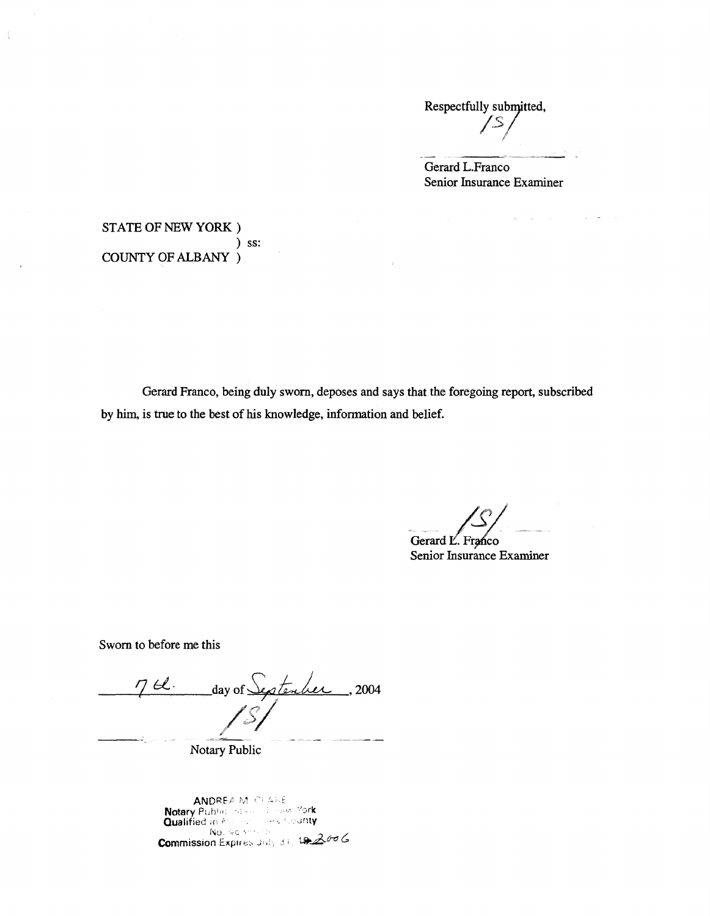Respectfully submitted,<br>/S *I* 

Gerard L.Franco Senior Insurance Examiner

Λö

 $\sim$ 

STATE OF NEW YORK) ) ss: COUNTY OF ALBANY )

 $\frac{1}{4}$ 

Gerard Franco, being duly sworn, deposes and says that the foregoing report, subscribed by him, is true to the best of his knowledge, information and belief.

Gerard L. Franco

Senior Insurance Examiner

Sworn to before me this

7 bl. day of September , 2004 ,r */S/* 

Notary Public

ANDREA M. CEARE Notary Public Inserts of Hew York<br>Qualified in Assessments County  $N_0$ , 46  $\cdots$  -... Commission Expires July 31, 192006